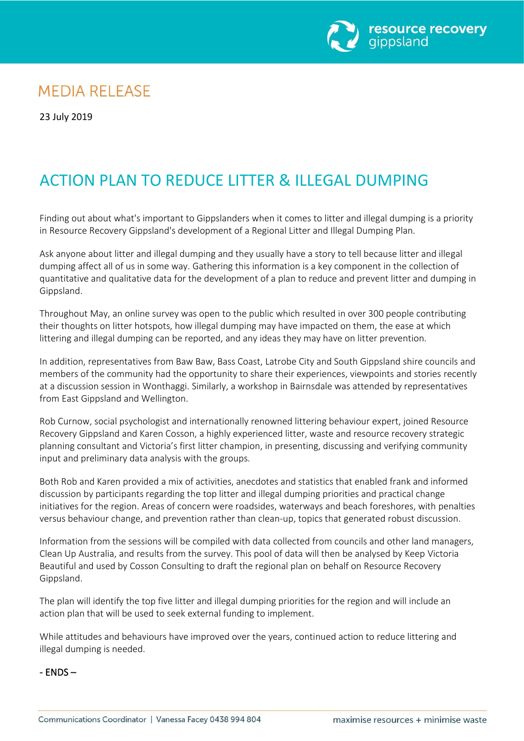

## **MEDIA RELEASE**

23 July 2019

# ACTION PLAN TO REDUCE LITTER & ILLEGAL DUMPING

Finding out about what's important to Gippslanders when it comes to litter and illegal dumping is a priority in Resource Recovery Gippsland's development of a Regional Litter and Illegal Dumping Plan.

Ask anyone about litter and illegal dumping and they usually have a story to tell because litter and illegal dumping affect all of us in some way. Gathering this information is a key component in the collection of quantitative and qualitative data for the development of a plan to reduce and prevent litter and dumping in Gippsland.

Throughout May, an online survey was open to the public which resulted in over 300 people contributing their thoughts on litter hotspots, how illegal dumping may have impacted on them, the ease at which littering and illegal dumping can be reported, and any ideas they may have on litter prevention.

In addition, representatives from Baw Baw, Bass Coast, Latrobe City and South Gippsland shire councils and members of the community had the opportunity to share their experiences, viewpoints and stories recently at a discussion session in Wonthaggi. Similarly, a workshop in Bairnsdale was attended by representatives from East Gippsland and Wellington.

Rob Curnow, social psychologist and internationally renowned littering behaviour expert, joined Resource Recovery Gippsland and Karen Cosson, a highly experienced litter, waste and resource recovery strategic planning consultant and Victoria's first litter champion, in presenting, discussing and verifying community input and preliminary data analysis with the groups.

Both Rob and Karen provided a mix of activities, anecdotes and statistics that enabled frank and informed discussion by participants regarding the top litter and illegal dumping priorities and practical change initiatives for the region. Areas of concern were roadsides, waterways and beach foreshores, with penalties versus behaviour change, and prevention rather than clean-up, topics that generated robust discussion.

Information from the sessions will be compiled with data collected from councils and other land managers, Clean Up Australia, and results from the survey. This pool of data will then be analysed by Keep Victoria Beautiful and used by Cosson Consulting to draft the regional plan on behalf on Resource Recovery Gippsland.

The plan will identify the top five litter and illegal dumping priorities for the region and will include an action plan that will be used to seek external funding to implement.

While attitudes and behaviours have improved over the years, continued action to reduce littering and illegal dumping is needed.

- ENDS –